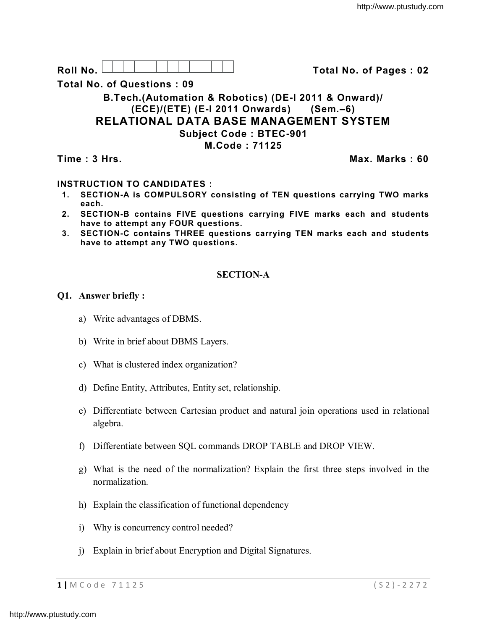

**Total No. of Questions : 09**

# **B.Tech.(Automation & Robotics) (DE-I 2011 & Onward)/ (ECE)/(ETE) (E-I 2011 Onwards) (Sem.–6) RELATIONAL DATA BASE MANAGEMENT SYSTEM Subject Code : BTEC-901 M.Code : 71125**

**Time : 3 Hrs. Max. Marks : 60**

# **INSTRUCTION TO CANDIDATES :**

- **1. SECTION-A is COMPULSORY consisting of TEN questions carrying TWO marks each.**
- **2. SECTION-B contains FIVE questions carrying FIVE marks each and students have to attempt any FOUR questions.**
- **3. SECTION-C contains THREE questions carrying TEN marks each and students have to attempt any TWO questions.**

# **SECTION-A**

## **Q1. Answer briefly :**

- a) Write advantages of DBMS.
- b) Write in brief about DBMS Layers.
- c) What is clustered index organization?
- d) Define Entity, Attributes, Entity set, relationship.
- e) Differentiate between Cartesian product and natural join operations used in relational algebra.
- f) Differentiate between SQL commands DROP TABLE and DROP VIEW.
- g) What is the need of the normalization? Explain the first three steps involved in the normalization.
- h) Explain the classification of functional dependency
- i) Why is concurrency control needed?
- j) Explain in brief about Encryption and Digital Signatures.